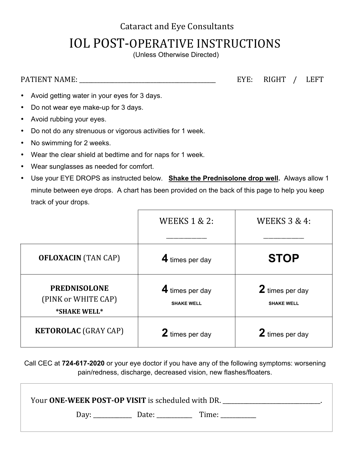## **Cataract and Eye Consultants**

## **IOL POST-OPERATIVE INSTRUCTIONS**

(Unless Otherwise Directed)

PATIENT NAME: \_\_\_\_\_\_\_\_\_\_\_\_\_\_\_\_\_\_\_\_\_\_\_\_\_\_\_\_\_\_\_\_\_\_\_\_\_\_\_\_\_\_\_\_\_\_ EYE: RIGHT / LEFT

- Avoid getting water in your eyes for 3 days.
- Do not wear eye make-up for 3 days.
- Avoid rubbing your eyes.
- Do not do any strenuous or vigorous activities for 1 week.
- No swimming for 2 weeks.
- Wear the clear shield at bedtime and for naps for 1 week.
- Wear sunglasses as needed for comfort.
- Use your EYE DROPS as instructed below. **Shake the Prednisolone drop well.** Always allow 1 minute between eye drops. A chart has been provided on the back of this page to help you keep track of your drops.

|                                                            | <b>WEEKS 1 &amp; 2:</b>              | <b>WEEKS 3 &amp; 4:</b>              |
|------------------------------------------------------------|--------------------------------------|--------------------------------------|
|                                                            |                                      |                                      |
| <b>OFLOXACIN</b> (TAN CAP)                                 | 4 times per day                      | <b>STOP</b>                          |
| <b>PREDNISOLONE</b><br>(PINK or WHITE CAP)<br>*SHAKE WELL* | 4 times per day<br><b>SHAKE WELL</b> | 2 times per day<br><b>SHAKE WELL</b> |
| <b>KETOROLAC</b> (GRAY CAP)                                | 2 times per day                      | 2 times per day                      |

Call CEC at **724-617-2020** or your eye doctor if you have any of the following symptoms: worsening pain/redness, discharge, decreased vision, new flashes/floaters.

| Your ONE-WEEK POST-OP VISIT is scheduled with DR. |                   |       |  |  |  |
|---------------------------------------------------|-------------------|-------|--|--|--|
| Day:                                              | Date: ___________ | Time: |  |  |  |